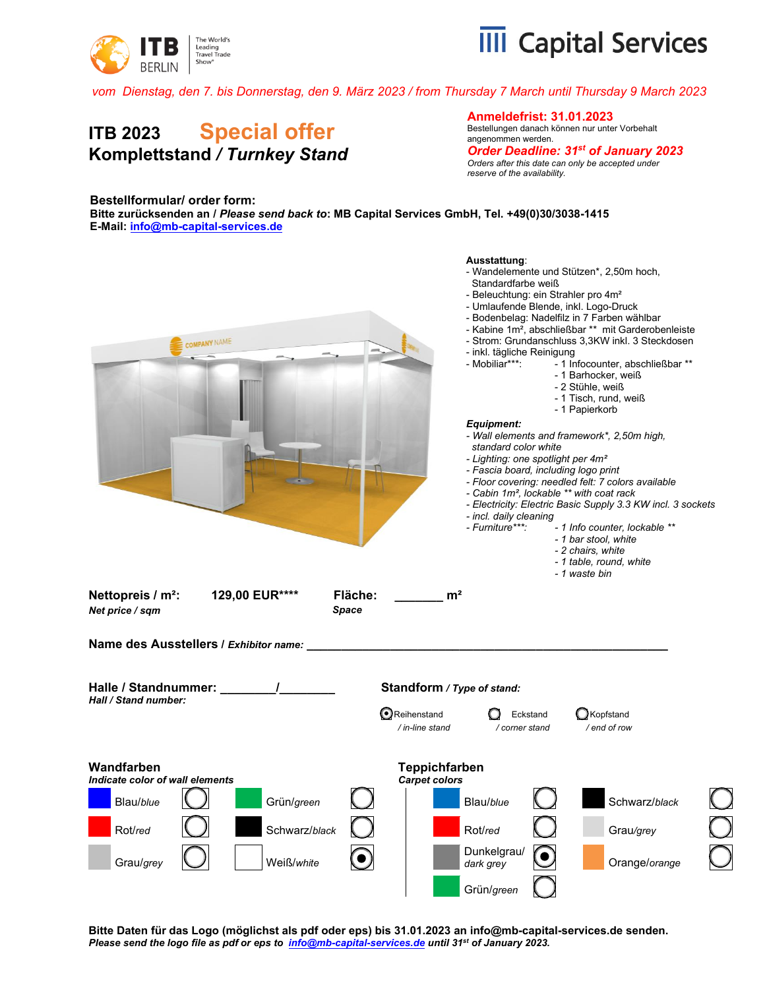



*vom Dienstag, den 7. bis Donnerstag, den 9. März 2023 / from Thursday 7 March until Thursday 9 March 2023*

## **ITB 2023 Special offer Komplettstand** */ Turnkey Stand*

**Anmeldefrist: 31.01.2023**

Bestellungen danach können nur unter Vorbehalt angenommen werden.

*Order Deadline: 31st of January 2023 Orders after this date can only be accepted under reserve of the availability.* 

## **Bestellformular/ order form:**

**Bitte zurücksenden an /** *Please send back to***: MB Capital Services GmbH, Tel. +49(0)30/3038-1415 E-Mail[: info@mb-capital-services.de](mailto:info@mb-capital-services.de)**



**Bitte Daten für das Logo (möglichst als pdf oder eps) bis 31.01.2023 an info@mb-capital-services.de senden.**  *Please send the logo file as pdf or eps to [info@mb-capital-services.de](mailto:info@mb-capital-services.de) until 31st of January 2023.*